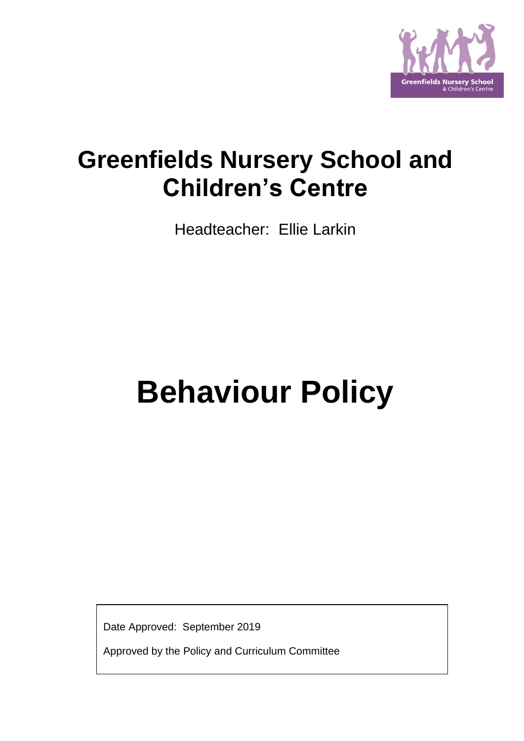

# **Greenfields Nursery School and Children's Centre**

Headteacher: Ellie Larkin

# **Behaviour Policy**

Date Approved: September 2019

Approved by the Policy and Curriculum Committee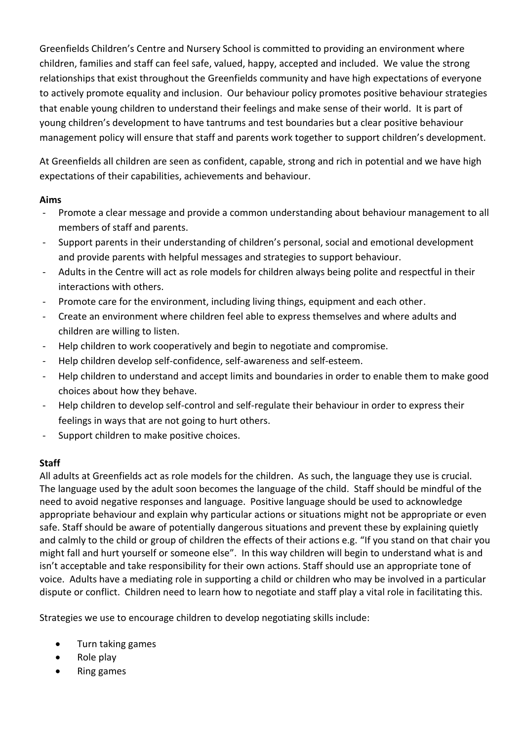Greenfields Children's Centre and Nursery School is committed to providing an environment where children, families and staff can feel safe, valued, happy, accepted and included. We value the strong relationships that exist throughout the Greenfields community and have high expectations of everyone to actively promote equality and inclusion. Our behaviour policy promotes positive behaviour strategies that enable young children to understand their feelings and make sense of their world. It is part of young children's development to have tantrums and test boundaries but a clear positive behaviour management policy will ensure that staff and parents work together to support children's development.

At Greenfields all children are seen as confident, capable, strong and rich in potential and we have high expectations of their capabilities, achievements and behaviour.

## **Aims**

- Promote a clear message and provide a common understanding about behaviour management to all members of staff and parents.
- Support parents in their understanding of children's personal, social and emotional development and provide parents with helpful messages and strategies to support behaviour.
- Adults in the Centre will act as role models for children always being polite and respectful in their interactions with others.
- Promote care for the environment, including living things, equipment and each other.
- Create an environment where children feel able to express themselves and where adults and children are willing to listen.
- Help children to work cooperatively and begin to negotiate and compromise.
- Help children develop self-confidence, self-awareness and self-esteem.
- Help children to understand and accept limits and boundaries in order to enable them to make good choices about how they behave.
- Help children to develop self-control and self-regulate their behaviour in order to express their feelings in ways that are not going to hurt others.
- Support children to make positive choices.

# **Staff**

All adults at Greenfields act as role models for the children. As such, the language they use is crucial. The language used by the adult soon becomes the language of the child. Staff should be mindful of the need to avoid negative responses and language. Positive language should be used to acknowledge appropriate behaviour and explain why particular actions or situations might not be appropriate or even safe. Staff should be aware of potentially dangerous situations and prevent these by explaining quietly and calmly to the child or group of children the effects of their actions e.g. "If you stand on that chair you might fall and hurt yourself or someone else". In this way children will begin to understand what is and isn't acceptable and take responsibility for their own actions. Staff should use an appropriate tone of voice. Adults have a mediating role in supporting a child or children who may be involved in a particular dispute or conflict. Children need to learn how to negotiate and staff play a vital role in facilitating this.

Strategies we use to encourage children to develop negotiating skills include:

- Turn taking games
- Role play
- Ring games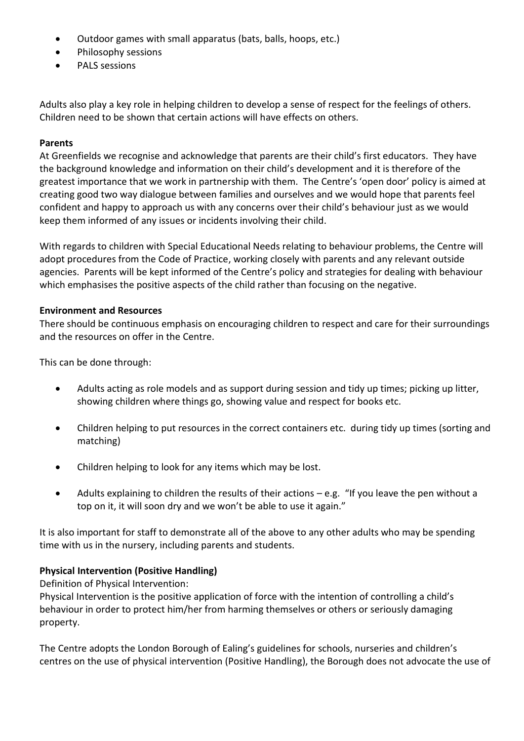- Outdoor games with small apparatus (bats, balls, hoops, etc.)
- Philosophy sessions
- PALS sessions

Adults also play a key role in helping children to develop a sense of respect for the feelings of others. Children need to be shown that certain actions will have effects on others.

# **Parents**

At Greenfields we recognise and acknowledge that parents are their child's first educators. They have the background knowledge and information on their child's development and it is therefore of the greatest importance that we work in partnership with them. The Centre's 'open door' policy is aimed at creating good two way dialogue between families and ourselves and we would hope that parents feel confident and happy to approach us with any concerns over their child's behaviour just as we would keep them informed of any issues or incidents involving their child.

With regards to children with Special Educational Needs relating to behaviour problems, the Centre will adopt procedures from the Code of Practice, working closely with parents and any relevant outside agencies. Parents will be kept informed of the Centre's policy and strategies for dealing with behaviour which emphasises the positive aspects of the child rather than focusing on the negative.

## **Environment and Resources**

There should be continuous emphasis on encouraging children to respect and care for their surroundings and the resources on offer in the Centre.

This can be done through:

- Adults acting as role models and as support during session and tidy up times; picking up litter, showing children where things go, showing value and respect for books etc.
- Children helping to put resources in the correct containers etc. during tidy up times (sorting and matching)
- Children helping to look for any items which may be lost.
- Adults explaining to children the results of their actions e.g. "If you leave the pen without a top on it, it will soon dry and we won't be able to use it again."

It is also important for staff to demonstrate all of the above to any other adults who may be spending time with us in the nursery, including parents and students.

## **Physical Intervention (Positive Handling)**

Definition of Physical Intervention:

Physical Intervention is the positive application of force with the intention of controlling a child's behaviour in order to protect him/her from harming themselves or others or seriously damaging property.

The Centre adopts the London Borough of Ealing's guidelines for schools, nurseries and children's centres on the use of physical intervention (Positive Handling), the Borough does not advocate the use of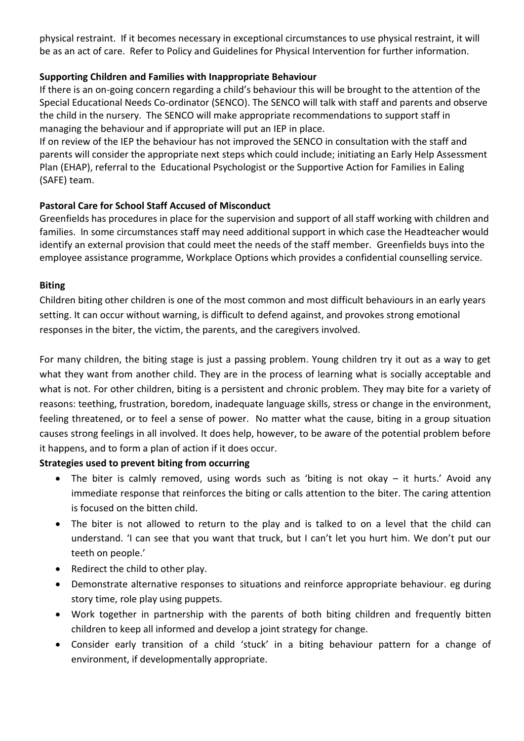physical restraint. If it becomes necessary in exceptional circumstances to use physical restraint, it will be as an act of care. Refer to Policy and Guidelines for Physical Intervention for further information.

# **Supporting Children and Families with Inappropriate Behaviour**

If there is an on-going concern regarding a child's behaviour this will be brought to the attention of the Special Educational Needs Co-ordinator (SENCO). The SENCO will talk with staff and parents and observe the child in the nursery. The SENCO will make appropriate recommendations to support staff in managing the behaviour and if appropriate will put an IEP in place.

If on review of the IEP the behaviour has not improved the SENCO in consultation with the staff and parents will consider the appropriate next steps which could include; initiating an Early Help Assessment Plan (EHAP), referral to the Educational Psychologist or the Supportive Action for Families in Ealing (SAFE) team.

# **Pastoral Care for School Staff Accused of Misconduct**

Greenfields has procedures in place for the supervision and support of all staff working with children and families. In some circumstances staff may need additional support in which case the Headteacher would identify an external provision that could meet the needs of the staff member. Greenfields buys into the employee assistance programme, Workplace Options which provides a confidential counselling service.

# **Biting**

Children biting other children is one of the most common and most difficult behaviours in an early years setting. It can occur without warning, is difficult to defend against, and provokes strong emotional responses in the biter, the victim, the parents, and the caregivers involved.

For many children, the biting stage is just a passing problem. Young children try it out as a way to get what they want from another child. They are in the process of learning what is socially acceptable and what is not. For other children, biting is a persistent and chronic problem. They may bite for a variety of reasons: teething, frustration, boredom, inadequate language skills, stress or change in the environment, feeling threatened, or to feel a sense of power. No matter what the cause, biting in a group situation causes strong feelings in all involved. It does help, however, to be aware of the potential problem before it happens, and to form a plan of action if it does occur.

## **Strategies used to prevent biting from occurring**

- The biter is calmly removed, using words such as 'biting is not okay it hurts.' Avoid any immediate response that reinforces the biting or calls attention to the biter. The caring attention is focused on the bitten child.
- The biter is not allowed to return to the play and is talked to on a level that the child can understand. 'I can see that you want that truck, but I can't let you hurt him. We don't put our teeth on people.'
- Redirect the child to other play.
- Demonstrate alternative responses to situations and reinforce appropriate behaviour. eg during story time, role play using puppets.
- Work together in partnership with the parents of both biting children and frequently bitten children to keep all informed and develop a joint strategy for change.
- Consider early transition of a child 'stuck' in a biting behaviour pattern for a change of environment, if developmentally appropriate.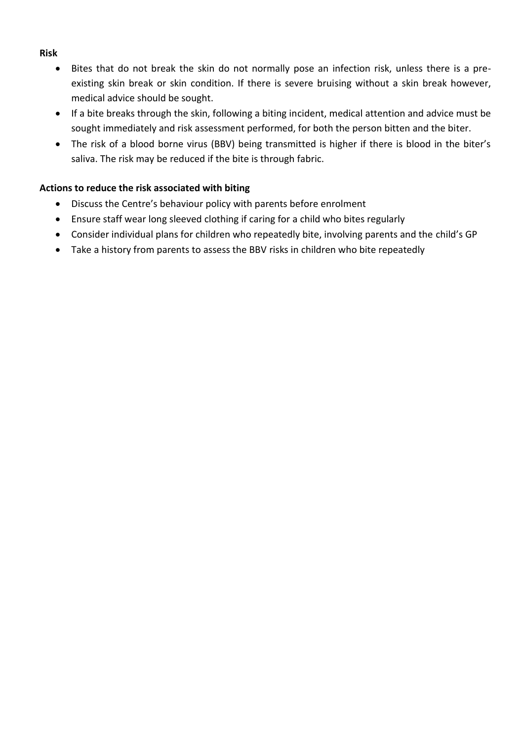## **Risk**

- Bites that do not break the skin do not normally pose an infection risk, unless there is a preexisting skin break or skin condition. If there is severe bruising without a skin break however, medical advice should be sought.
- If a bite breaks through the skin, following a biting incident, medical attention and advice must be sought immediately and risk assessment performed, for both the person bitten and the biter.
- The risk of a blood borne virus (BBV) being transmitted is higher if there is blood in the biter's saliva. The risk may be reduced if the bite is through fabric.

# **Actions to reduce the risk associated with biting**

- Discuss the Centre's behaviour policy with parents before enrolment
- Ensure staff wear long sleeved clothing if caring for a child who bites regularly
- Consider individual plans for children who repeatedly bite, involving parents and the child's GP
- Take a history from parents to assess the BBV risks in children who bite repeatedly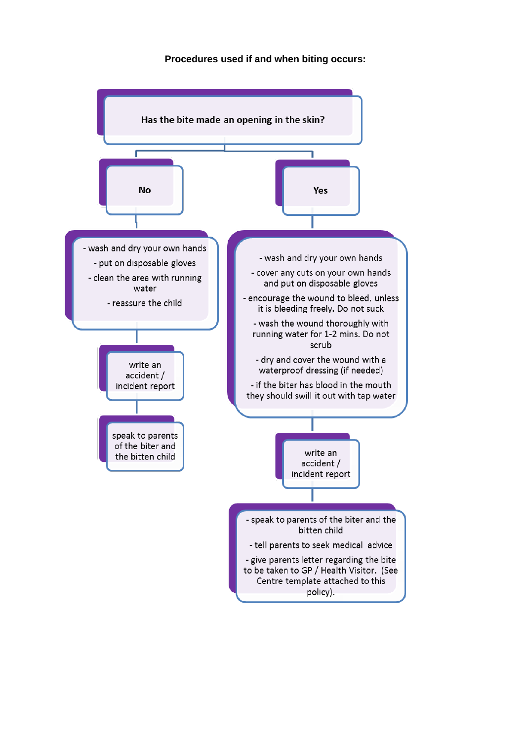**Procedures used if and when biting occurs:**

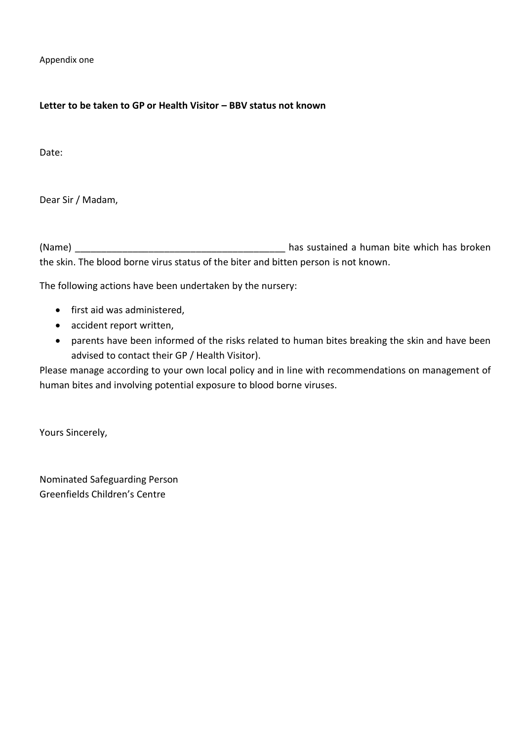Appendix one

#### **Letter to be taken to GP or Health Visitor – BBV status not known**

Date:

Dear Sir / Madam,

(Name) and the sustained a human bite which has broken the skin. The blood borne virus status of the biter and bitten person is not known.

The following actions have been undertaken by the nursery:

- first aid was administered,
- accident report written,
- parents have been informed of the risks related to human bites breaking the skin and have been advised to contact their GP / Health Visitor).

Please manage according to your own local policy and in line with recommendations on management of human bites and involving potential exposure to blood borne viruses.

Yours Sincerely,

Nominated Safeguarding Person Greenfields Children's Centre